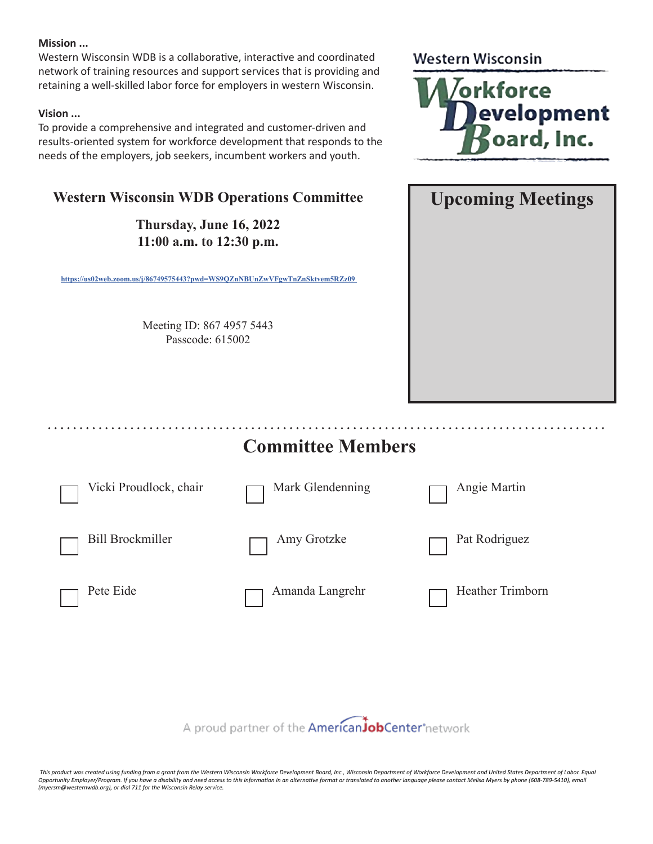### **Mission ...**

Western Wisconsin WDB is a collaborative, interactive and coordinated network of training resources and support services that is providing and retaining a well-skilled labor force for employers in western Wisconsin.

### **Vision ...**

To provide a comprehensive and integrated and customer-driven and results-oriented system for workforce development that responds to the needs of the employers, job seekers, incumbent workers and youth.

## **Western Wisconsin WDB Operations Committee**

**Thursday, June 16, 2022 11:00 a.m. to 12:30 p.m.**

**https://us02web.zoom.us/j/86749575443?pwd=WS9QZnNBUnZwVFgwTnZnSktvem5RZz09** 

Meeting ID: 867 4957 5443 Passcode: 615002

### **Western Wisconsin**





# **Committee Members**

| $\Box$ Vicki Proudlock, chair | Mark Glendenning   |
|-------------------------------|--------------------|
| Bill Brockmiller              | $\Box$ Amy Grotzke |

Pete Eide

Amanda Langrehr

Heather Trimborn

Angie Martin

Pat Rodriguez

A proud partner of the AmericanJobCenter°network

 *This product was created using funding from a grant from the Western Wisconsin Workforce Development Board, Inc., Wisconsin Department of Workforce Development and United States Department of Labor. Equal*  Opportunity Employer/Program. If you have a disability and need access to this information in an alternative format or translated to another language please contact Melisa Myers by phone (608-789-5410), email *(myersm@westernwdb.org), or dial 711 for the Wisconsin Relay service.*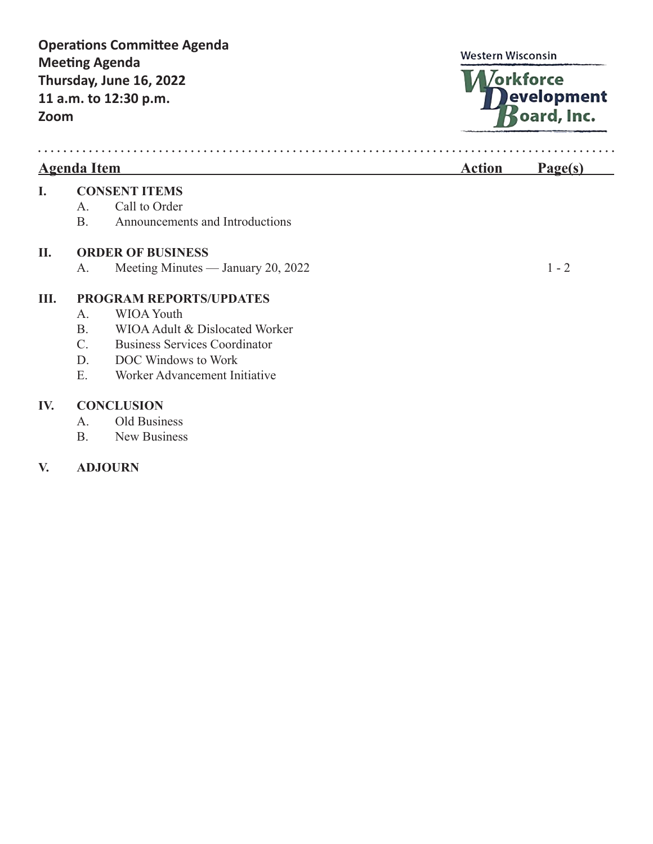## **Operations Committee Agenda Western Wisconsin Meeting Agenda** /orkforce **Thursday, June 16, 2022** evelopment **11 a.m. to 12:30 p.m.** pard, Inc. **Zoom** . . . . . . Agenda Item **Page(s) I. CONSENT ITEMS** A. Call to Order B. Announcements and Introductions **II. ORDER OF BUSINESS** A. Meeting Minutes — January 20, 2022 1 - 2 **III. PROGRAM REPORTS/UPDATES** A. WIOA Youth B. WIOA Adult & Dislocated Worker C. Business Services Coordinator D. DOC Windows to Work E. Worker Advancement Initiative **IV. CONCLUSION**

- A. Old Business
- B. New Business

## **V. ADJOURN**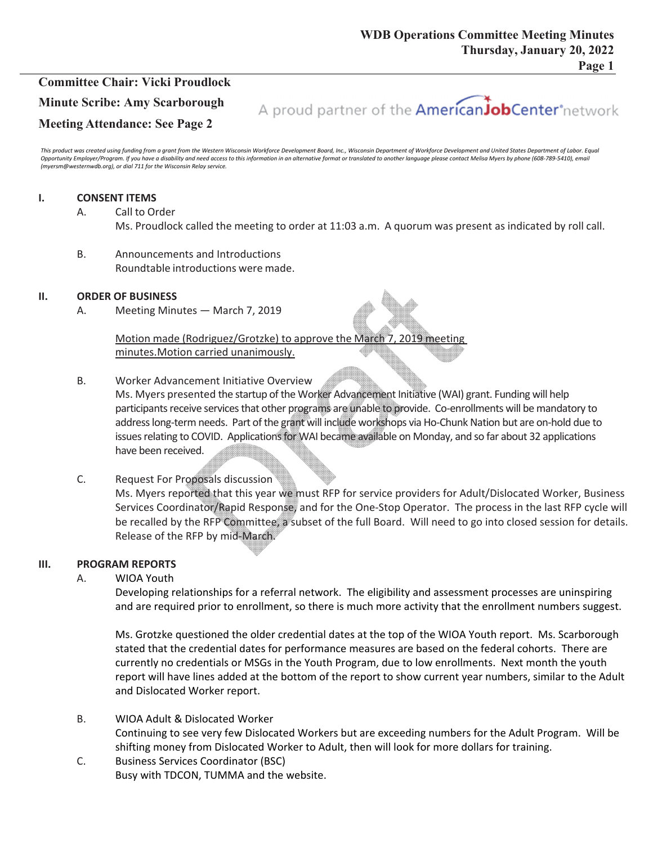## **Committee Chair: Vicki Proudlock Minute Scribe: Amy Scarborough Meeting Attendance: See Page 2**



This product was created using funding from a grant from the Western Wisconsin Workforce Development Board, Inc., Wisconsin Department of Workforce Development and United States Department of Labor. Equal Opportunity Employer/Program. If you have a disability and need access to this information in an alternative format or translated to another language please contact Melisa Myers by phone (608-789-5410), email *(myersm@westernwdb.org), or dial 711 for the Wisconsin Relay service.*

### **I. CONSENT ITEMS**

- A. Call to Order Ms. Proudlock called the meeting to order at 11:03 a.m. A quorum was present as indicated by roll call.
- B. Announcements and Introductions Roundtable introductions were made.

### **II. ORDER OF BUSINESS**

A. Meeting Minutes — March 7, 2019

Motion made (Rodriguez/Grotzke) to approve the March 7, 2019 meeting minutes.Motion carried unanimously.

B. Worker Advancement Initiative Overview

Ms. Myers presented the startup of the Worker Advancement Initiative (WAI) grant. Funding will help participants receive services that other programs are unable to provide. Co-enrollments will be mandatory to addresslong‐term needs. Part ofthe grant will include workshops via Ho‐Chunk Nation but are on‐hold due to issues relating to COVID. Applications for WAI became available on Monday, and so far about 32 applications have been received.

C. Request For Proposals discussion

Ms. Myers reported that this year we must RFP for service providers for Adult/Dislocated Worker, Business Services Coordinator/Rapid Response, and for the One-Stop Operator. The process in the last RFP cycle will be recalled by the RFP Committee, a subset of the full Board. Will need to go into closed session for details. Release of the RFP by mid‐March.

### **III. PROGRAM REPORTS**

### A. WIOA Youth

Developing relationships for a referral network. The eligibility and assessment processes are uninspiring and are required prior to enrollment, so there is much more activity that the enrollment numbers suggest.

Ms. Grotzke questioned the older credential dates at the top of the WIOA Youth report. Ms. Scarborough stated that the credential dates for performance measures are based on the federal cohorts. There are currently no credentials or MSGs in the Youth Program, due to low enrollments. Next month the youth report will have lines added at the bottom of the report to show current year numbers, similar to the Adult and Dislocated Worker report.

- B. WIOA Adult & Dislocated Worker Continuing to see very few Dislocated Workers but are exceeding numbers for the Adult Program. Will be shifting money from Dislocated Worker to Adult, then will look for more dollars for training.
- C. Business Services Coordinator (BSC) Busy with TDCON, TUMMA and the website.